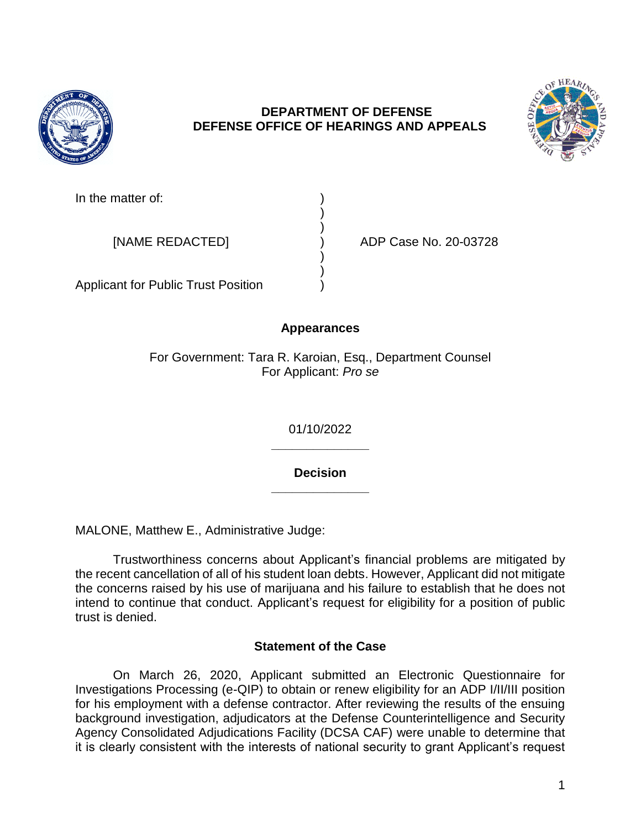

## **DEPARTMENT OF DEFENSE DEFENSE OFFICE OF HEARINGS AND APPEALS**



In the matter of:

[NAME REDACTED] ) ADP Case No. 20-03728

Applicant for Public Trust Position )

# **Appearances**

) )

) )

For Government: Tara R. Karoian, Esq., Department Counsel For Applicant: *Pro se* 

> **\_\_\_\_\_\_\_\_\_\_\_\_\_\_**  01/10/2022

> **\_\_\_\_\_\_\_\_\_\_\_\_\_\_ Decision**

MALONE, Matthew E., Administrative Judge:

 Trustworthiness concerns about Applicant's financial problems are mitigated by the recent cancellation of all of his student loan debts. However, Applicant did not mitigate the concerns raised by his use of marijuana and his failure to establish that he does not intend to continue that conduct. Applicant's request for eligibility for a position of public trust is denied.

## **Statement of the Case**

 On March 26, 2020, Applicant submitted an Electronic Questionnaire for Investigations Processing (e-QIP) to obtain or renew eligibility for an ADP I/II/III position for his employment with a defense contractor. After reviewing the results of the ensuing background investigation, adjudicators at the Defense Counterintelligence and Security Agency Consolidated Adjudications Facility (DCSA CAF) were unable to determine that it is clearly consistent with the interests of national security to grant Applicant's request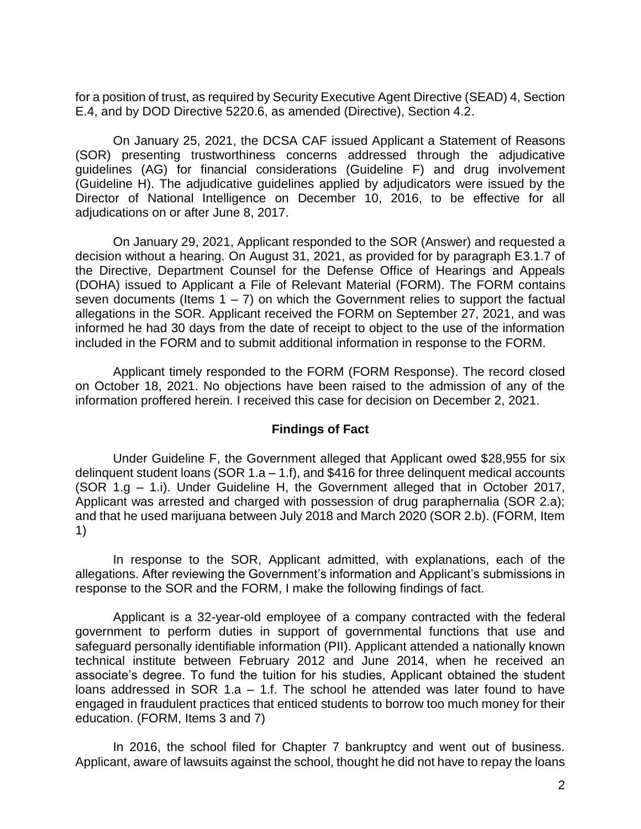for a position of trust, as required by Security Executive Agent Directive (SEAD) 4, Section E.4, and by DOD Directive 5220.6, as amended (Directive), Section 4.2.

 (SOR) presenting trustworthiness concerns addressed through the adjudicative guidelines (AG) for financial considerations (Guideline F) and drug involvement (Guideline H). The adjudicative guidelines applied by adjudicators were issued by the Director of National Intelligence on December 10, 2016, to be effective for all On January 25, 2021, the DCSA CAF issued Applicant a Statement of Reasons adjudications on or after June 8, 2017.

 On January 29, 2021, Applicant responded to the SOR (Answer) and requested a decision without a hearing. On August 31, 2021, as provided for by paragraph E3.1.7 of the Directive, Department Counsel for the Defense Office of Hearings and Appeals (DOHA) issued to Applicant a File of Relevant Material (FORM). The FORM contains seven documents (Items  $1 - 7$ ) on which the Government relies to support the factual allegations in the SOR. Applicant received the FORM on September 27, 2021, and was informed he had 30 days from the date of receipt to object to the use of the information included in the FORM and to submit additional information in response to the FORM.

 Applicant timely responded to the FORM (FORM Response). The record closed on October 18, 2021. No objections have been raised to the admission of any of the information proffered herein. I received this case for decision on December 2, 2021.

### **Findings of Fact**

 delinquent student loans (SOR 1.a – 1.f), and \$416 for three delinquent medical accounts (SOR 1.g – 1.i). Under Guideline H, the Government alleged that in October 2017, Applicant was arrested and charged with possession of drug paraphernalia (SOR 2.a); and that he used marijuana between July 2018 and March 2020 (SOR 2.b). (FORM, Item Under Guideline F, the Government alleged that Applicant owed \$28,955 for six 1)

 In response to the SOR, Applicant admitted, with explanations, each of the allegations. After reviewing the Government's information and Applicant's submissions in response to the SOR and the FORM, I make the following findings of fact.

 Applicant is a 32-year-old employee of a company contracted with the federal government to perform duties in support of governmental functions that use and safeguard personally identifiable information (PII). Applicant attended a nationally known technical institute between February 2012 and June 2014, when he received an associate's degree. To fund the tuition for his studies, Applicant obtained the student loans addressed in SOR 1.a – 1.f. The school he attended was later found to have engaged in fraudulent practices that enticed students to borrow too much money for their education. (FORM, Items 3 and 7)

 In 2016, the school filed for Chapter 7 bankruptcy and went out of business. Applicant, aware of lawsuits against the school, thought he did not have to repay the loans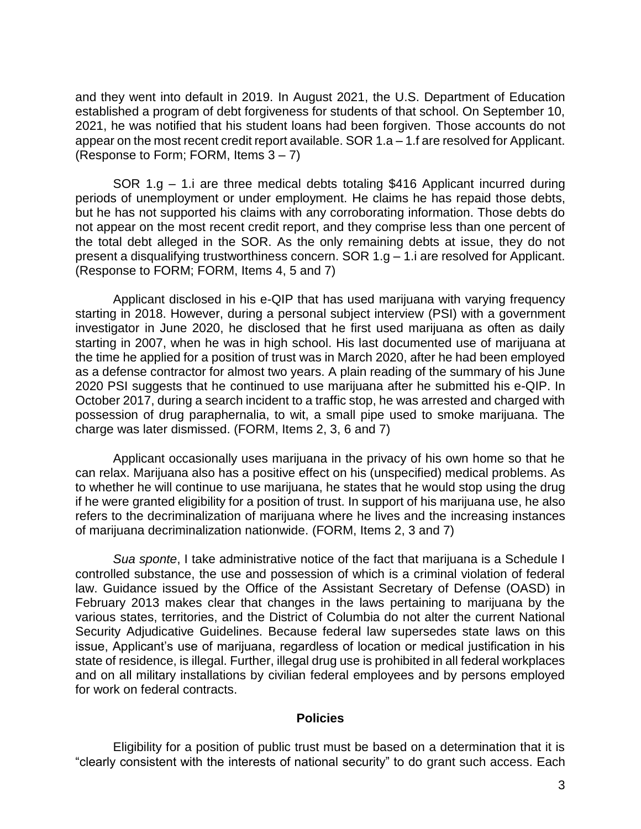and they went into default in 2019. In August 2021, the U.S. Department of Education established a program of debt forgiveness for students of that school. On September 10, 2021, he was notified that his student loans had been forgiven. Those accounts do not appear on the most recent credit report available. SOR 1.a – 1.f are resolved for Applicant. (Response to Form; FORM, Items  $3 - 7$ )

 SOR 1.g – 1.i are three medical debts totaling \$416 Applicant incurred during periods of unemployment or under employment. He claims he has repaid those debts, but he has not supported his claims with any corroborating information. Those debts do not appear on the most recent credit report, and they comprise less than one percent of the total debt alleged in the SOR. As the only remaining debts at issue, they do not present a disqualifying trustworthiness concern. SOR 1.g – 1.i are resolved for Applicant. (Response to FORM; FORM, Items 4, 5 and 7)

 Applicant disclosed in his e-QIP that has used marijuana with varying frequency starting in 2018. However, during a personal subject interview (PSI) with a government investigator in June 2020, he disclosed that he first used marijuana as often as daily starting in 2007, when he was in high school. His last documented use of marijuana at the time he applied for a position of trust was in March 2020, after he had been employed as a defense contractor for almost two years. A plain reading of the summary of his June 2020 PSI suggests that he continued to use marijuana after he submitted his e-QIP. In October 2017, during a search incident to a traffic stop, he was arrested and charged with possession of drug paraphernalia, to wit, a small pipe used to smoke marijuana. The charge was later dismissed. (FORM, Items 2, 3, 6 and 7)

 Applicant occasionally uses marijuana in the privacy of his own home so that he can relax. Marijuana also has a positive effect on his (unspecified) medical problems. As to whether he will continue to use marijuana, he states that he would stop using the drug if he were granted eligibility for a position of trust. In support of his marijuana use, he also refers to the decriminalization of marijuana where he lives and the increasing instances of marijuana decriminalization nationwide. (FORM, Items 2, 3 and 7)

 *Sua sponte*, I take administrative notice of the fact that marijuana is a Schedule I controlled substance, the use and possession of which is a criminal violation of federal law. Guidance issued by the Office of the Assistant Secretary of Defense (OASD) in February 2013 makes clear that changes in the laws pertaining to marijuana by the various states, territories, and the District of Columbia do not alter the current National Security Adjudicative Guidelines. Because federal law supersedes state laws on this issue, Applicant's use of marijuana, regardless of location or medical justification in his state of residence, is illegal. Further, illegal drug use is prohibited in all federal workplaces and on all military installations by civilian federal employees and by persons employed for work on federal contracts.

#### **Policies**

 Eligibility for a position of public trust must be based on a determination that it is "clearly consistent with the interests of national security" to do grant such access. Each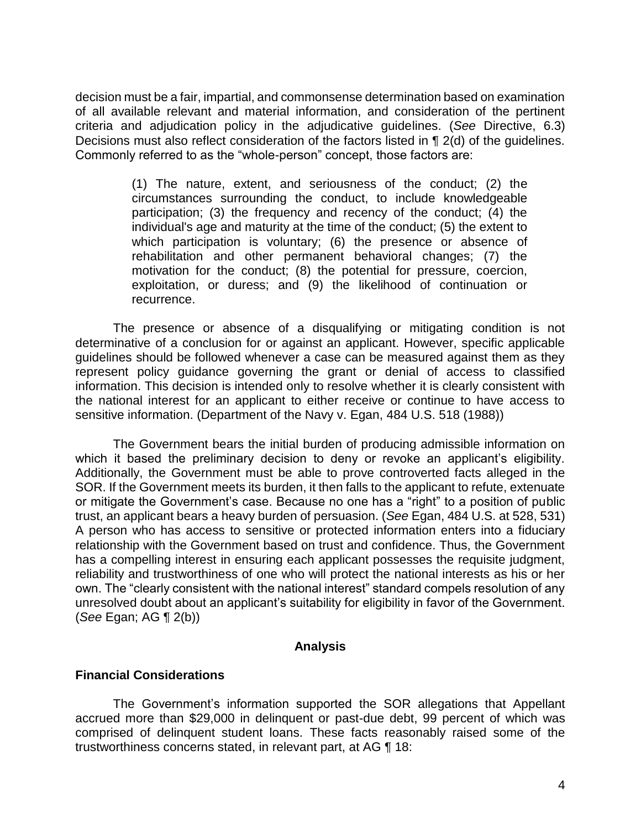decision must be a fair, impartial, and commonsense determination based on examination of all available relevant and material information, and consideration of the pertinent criteria and adjudication policy in the adjudicative guidelines. (*See* Directive, 6.3) Decisions must also reflect consideration of the factors listed in ¶ 2(d) of the guidelines. Commonly referred to as the "whole-person" concept, those factors are:

> (1) The nature, extent, and seriousness of the conduct; (2) the circumstances surrounding the conduct, to include knowledgeable participation; (3) the frequency and recency of the conduct; (4) the individual's age and maturity at the time of the conduct; (5) the extent to which participation is voluntary; (6) the presence or absence of rehabilitation and other permanent behavioral changes; (7) the motivation for the conduct; (8) the potential for pressure, coercion, exploitation, or duress; and (9) the likelihood of continuation or recurrence.

 The presence or absence of a disqualifying or mitigating condition is not determinative of a conclusion for or against an applicant. However, specific applicable guidelines should be followed whenever a case can be measured against them as they represent policy guidance governing the grant or denial of access to classified information. This decision is intended only to resolve whether it is clearly consistent with the national interest for an applicant to either receive or continue to have access to sensitive information. (Department of the Navy v. Egan, 484 U.S. 518 (1988))

The Government bears the initial burden of producing admissible information on which it based the preliminary decision to deny or revoke an applicant's eligibility. Additionally, the Government must be able to prove controverted facts alleged in the SOR. If the Government meets its burden, it then falls to the applicant to refute, extenuate or mitigate the Government's case. Because no one has a "right" to a position of public trust, an applicant bears a heavy burden of persuasion. (*See* Egan, 484 U.S. at 528, 531) A person who has access to sensitive or protected information enters into a fiduciary relationship with the Government based on trust and confidence. Thus, the Government has a compelling interest in ensuring each applicant possesses the requisite judgment, reliability and trustworthiness of one who will protect the national interests as his or her own. The "clearly consistent with the national interest" standard compels resolution of any unresolved doubt about an applicant's suitability for eligibility in favor of the Government. (*See* Egan; AG ¶ 2(b))

#### **Analysis**

#### **Financial Considerations**

 accrued more than \$29,000 in delinquent or past-due debt, 99 percent of which was comprised of delinquent student loans. These facts reasonably raised some of the The Government's information supported the SOR allegations that Appellant trustworthiness concerns stated, in relevant part, at AG ¶ 18: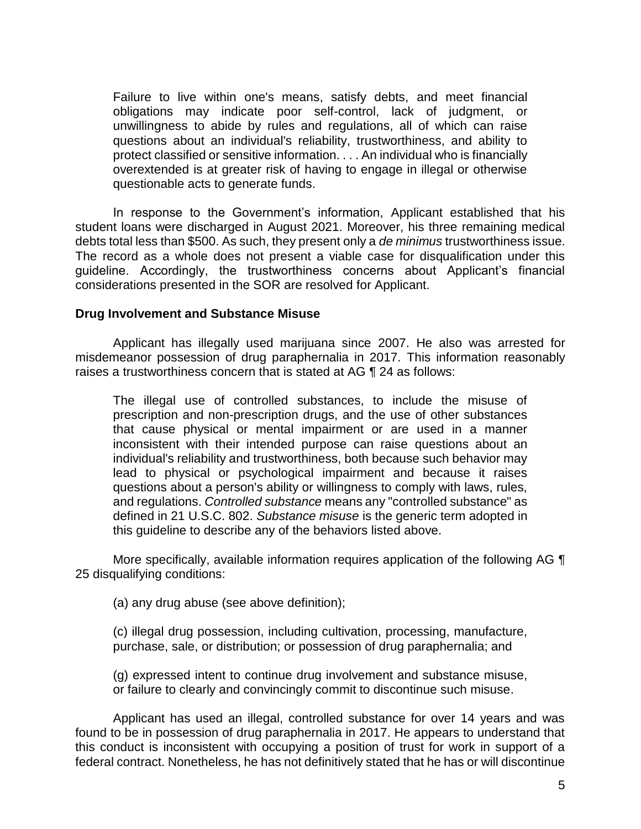Failure to live within one's means, satisfy debts, and meet financial obligations may indicate poor self-control, lack of judgment, or unwillingness to abide by rules and regulations, all of which can raise questions about an individual's reliability, trustworthiness, and ability to overextended is at greater risk of having to engage in illegal or otherwise protect classified or sensitive information. . . . An individual who is financially questionable acts to generate funds.

In response to the Government's information, Applicant established that his student loans were discharged in August 2021. Moreover, his three remaining medical debts total less than \$500. As such, they present only a *de minimus* trustworthiness issue. The record as a whole does not present a viable case for disqualification under this guideline. Accordingly, the trustworthiness concerns about Applicant's financial considerations presented in the SOR are resolved for Applicant.

#### **Drug Involvement and Substance Misuse**

 Applicant has illegally used marijuana since 2007. He also was arrested for misdemeanor possession of drug paraphernalia in 2017. This information reasonably raises a trustworthiness concern that is stated at AG ¶ 24 as follows:

 The illegal use of controlled substances, to include the misuse of prescription and non-prescription drugs, and the use of other substances that cause physical or mental impairment or are used in a manner inconsistent with their intended purpose can raise questions about an individual's reliability and trustworthiness, both because such behavior may lead to physical or psychological impairment and because it raises questions about a person's ability or willingness to comply with laws, rules,  and regulations. *Controlled substance* means any "controlled substance" as defined in 21 U.S.C. 802. *Substance misuse* is the generic term adopted in this guideline to describe any of the behaviors listed above.

More specifically, available information requires application of the following AG  $\P$ 25 disqualifying conditions:

(a) any drug abuse (see above definition);

 (c) illegal drug possession, including cultivation, processing, manufacture, purchase, sale, or distribution; or possession of drug paraphernalia; and

 (g) expressed intent to continue drug involvement and substance misuse, or failure to clearly and convincingly commit to discontinue such misuse.

 Applicant has used an illegal, controlled substance for over 14 years and was found to be in possession of drug paraphernalia in 2017. He appears to understand that this conduct is inconsistent with occupying a position of trust for work in support of a federal contract. Nonetheless, he has not definitively stated that he has or will discontinue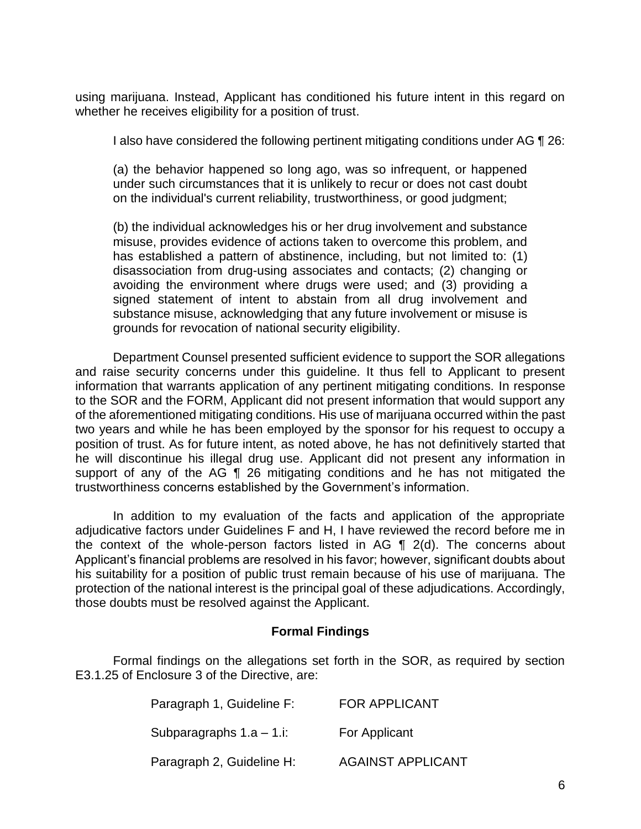using marijuana. Instead, Applicant has conditioned his future intent in this regard on whether he receives eligibility for a position of trust.

I also have considered the following pertinent mitigating conditions under AG ¶ 26:

 (a) the behavior happened so long ago, was so infrequent, or happened under such circumstances that it is unlikely to recur or does not cast doubt on the individual's current reliability, trustworthiness, or good judgment;

 (b) the individual acknowledges his or her drug involvement and substance misuse, provides evidence of actions taken to overcome this problem, and has established a pattern of abstinence, including, but not limited to: (1) disassociation from drug-using associates and contacts; (2) changing or avoiding the environment where drugs were used; and (3) providing a signed statement of intent to abstain from all drug involvement and substance misuse, acknowledging that any future involvement or misuse is grounds for revocation of national security eligibility.

 Department Counsel presented sufficient evidence to support the SOR allegations and raise security concerns under this guideline. It thus fell to Applicant to present information that warrants application of any pertinent mitigating conditions. In response to the SOR and the FORM, Applicant did not present information that would support any of the aforementioned mitigating conditions. His use of marijuana occurred within the past two years and while he has been employed by the sponsor for his request to occupy a position of trust. As for future intent, as noted above, he has not definitively started that he will discontinue his illegal drug use. Applicant did not present any information in support of any of the AG ¶ 26 mitigating conditions and he has not mitigated the trustworthiness concerns established by the Government's information.

 In addition to my evaluation of the facts and application of the appropriate adjudicative factors under Guidelines F and H, I have reviewed the record before me in the context of the whole-person factors listed in AG  $\parallel$  2(d). The concerns about Applicant's financial problems are resolved in his favor; however, significant doubts about his suitability for a position of public trust remain because of his use of marijuana. The protection of the national interest is the principal goal of these adjudications. Accordingly, those doubts must be resolved against the Applicant.

## **Formal Findings**

 Formal findings on the allegations set forth in the SOR, as required by section E3.1.25 of Enclosure 3 of the Directive, are:

| Paragraph 1, Guideline F: | <b>FOR APPLICANT</b>     |
|---------------------------|--------------------------|
| Subparagraphs 1.a – 1.i:  | For Applicant            |
| Paragraph 2, Guideline H: | <b>AGAINST APPLICANT</b> |